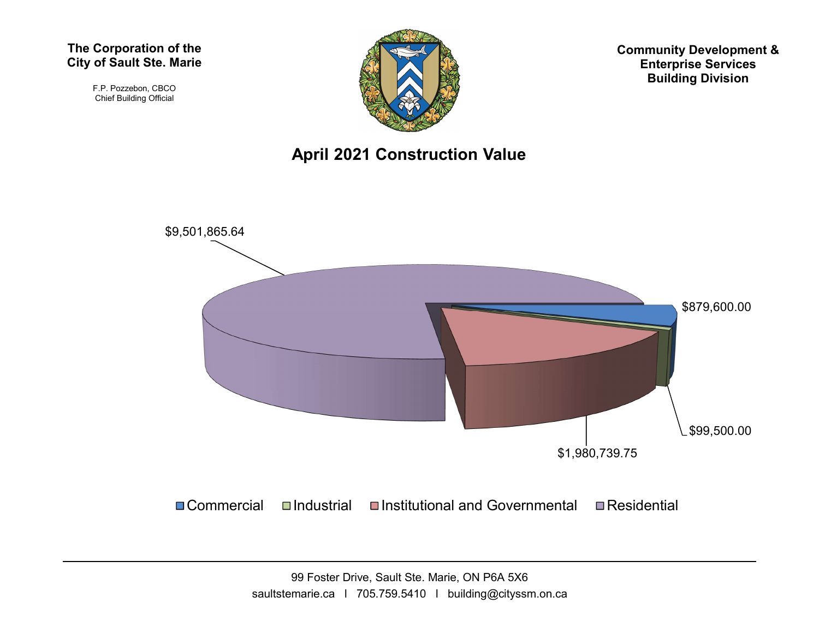#### The Corporation of the City of Sault Ste. Marie

F.P. Pozzebon, CBCO Chief Building Official



Community Development & Enterprise Services Building Division

### April 2021 Construction Value

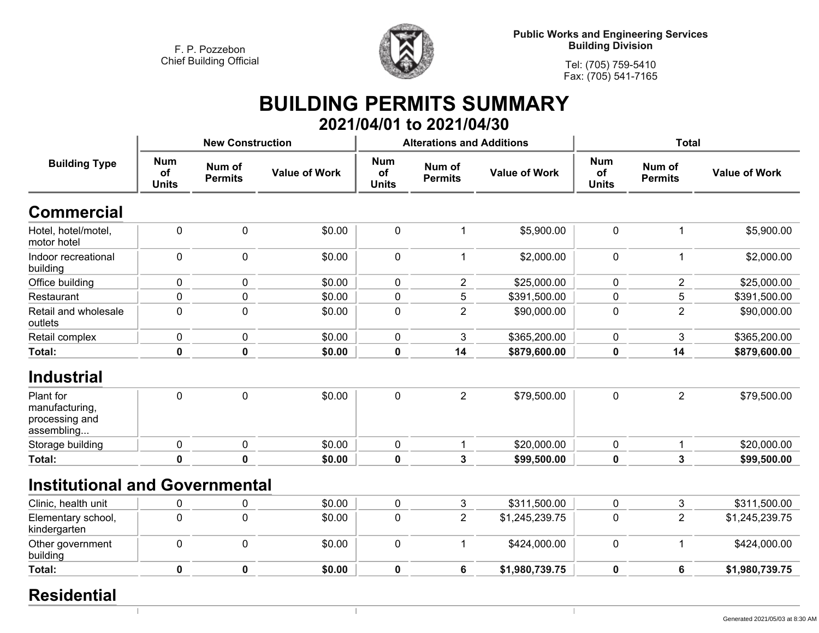

**Public Works and Engineering Services Building Division**

**Tel: (705) 759-5410Fax: (705) 541-7165**

 $\mathbb{R}$ 

## **BUILDING PERMITS SUMMARY 2021/04/01 to 2021/04/30**

| <b>Building Type</b>                                        |                                  | <b>New Construction</b>  |                      |                                  | <b>Alterations and Additions</b> |                      | <b>Total</b>                     |                          |                      |
|-------------------------------------------------------------|----------------------------------|--------------------------|----------------------|----------------------------------|----------------------------------|----------------------|----------------------------------|--------------------------|----------------------|
|                                                             | <b>Num</b><br>of<br><b>Units</b> | Num of<br><b>Permits</b> | <b>Value of Work</b> | <b>Num</b><br>of<br><b>Units</b> | Num of<br><b>Permits</b>         | <b>Value of Work</b> | <b>Num</b><br>of<br><b>Units</b> | Num of<br><b>Permits</b> | <b>Value of Work</b> |
| <b>Commercial</b>                                           |                                  |                          |                      |                                  |                                  |                      |                                  |                          |                      |
| Hotel, hotel/motel,<br>motor hotel                          | $\mathbf 0$                      | $\mathbf 0$              | \$0.00               | $\mathbf 0$                      | 1                                | \$5,900.00           | $\pmb{0}$                        | 1                        | \$5,900.00           |
| Indoor recreational<br>building                             | $\mathbf 0$                      | $\mathbf 0$              | \$0.00               | 0                                | $\mathbf{1}$                     | \$2,000.00           | $\mathbf 0$                      | 1                        | \$2,000.00           |
| Office building                                             | $\mathbf 0$                      | $\mathbf 0$              | \$0.00               | $\mathbf 0$                      | $\overline{2}$                   | \$25,000.00          | 0                                | 2                        | \$25,000.00          |
| Restaurant                                                  | 0                                | 0                        | \$0.00               | 0                                | 5                                | \$391,500.00         | 0                                | 5                        | \$391,500.00         |
| Retail and wholesale<br>outlets                             | 0                                | $\mathbf{0}$             | \$0.00               | 0                                | $\overline{2}$                   | \$90,000.00          | 0                                | $\overline{2}$           | \$90,000.00          |
| Retail complex                                              | 0                                | $\mathbf 0$              | \$0.00               | $\mathbf{0}$                     | 3                                | \$365,200.00         | 0                                | 3                        | \$365,200.00         |
| Total:                                                      | 0                                | $\mathbf 0$              | \$0.00               | 0                                | 14                               | \$879,600.00         | 0                                | 14                       | \$879,600.00         |
| <b>Industrial</b>                                           |                                  |                          |                      |                                  |                                  |                      |                                  |                          |                      |
| Plant for<br>manufacturing,<br>processing and<br>assembling | 0                                | $\mathbf 0$              | \$0.00               | 0                                | $\overline{2}$                   | \$79,500.00          | $\mathbf 0$                      | $\overline{2}$           | \$79,500.00          |
| Storage building                                            | 0                                | 0                        | \$0.00               | $\mathbf{0}$                     | 1                                | \$20,000.00          | 0                                | 1                        | \$20,000.00          |
| Total:                                                      | $\mathbf 0$                      | $\mathbf 0$              | \$0.00               | $\bf{0}$                         | $\mathbf{3}$                     | \$99,500.00          | 0                                | 3                        | \$99,500.00          |
| <b>Institutional and Governmental</b>                       |                                  |                          |                      |                                  |                                  |                      |                                  |                          |                      |
| Clinic, health unit                                         | 0                                | 0                        | \$0.00               | $\mathbf 0$                      | $\mathbf{3}$                     | \$311,500.00         | $\mathbf 0$                      | 3                        | \$311,500.00         |
| Elementary school,<br>kindergarten                          | $\mathbf 0$                      | 0                        | \$0.00               | 0                                | $\overline{2}$                   | \$1,245,239.75       | 0                                | $\overline{2}$           | \$1,245,239.75       |
| Other government<br>building                                | $\mathbf 0$                      | $\mathbf 0$              | \$0.00               | $\mathbf 0$                      | $\mathbf{1}$                     | \$424,000.00         | $\mathbf 0$                      | 1                        | \$424,000.00         |
| Total:                                                      | $\mathbf 0$                      | $\mathbf 0$              | \$0.00               | $\mathbf 0$                      | 6                                | \$1,980,739.75       | 0                                | $6\phantom{1}$           | \$1,980,739.75       |
|                                                             |                                  |                          |                      |                                  |                                  |                      |                                  |                          |                      |

 $\overline{\phantom{a}}$ 

## **Residential**

 $\overline{1}$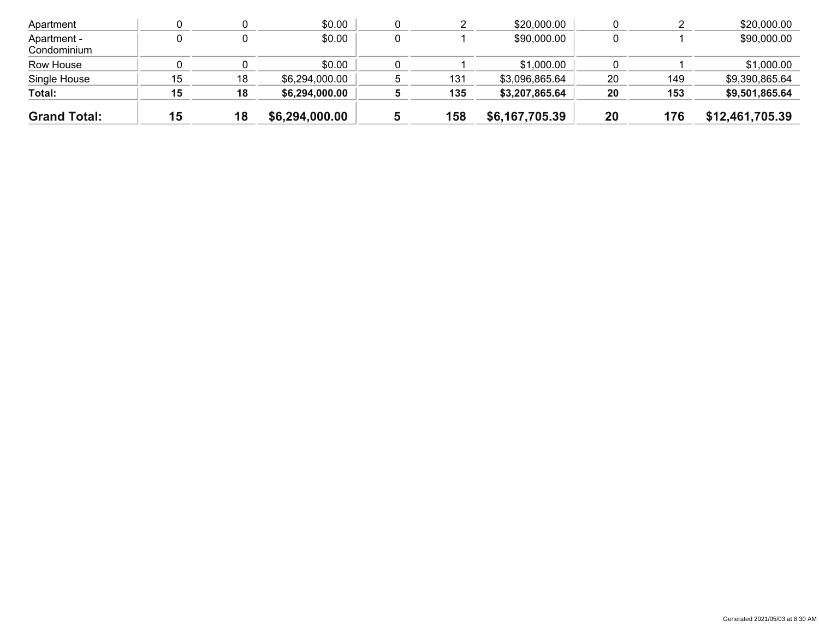| <b>Grand Total:</b>        | 15 | 18 | \$6,294,000.00 | 158 | \$6,167,705.39 | 20 | 176 | \$12,461,705.39 |
|----------------------------|----|----|----------------|-----|----------------|----|-----|-----------------|
| Total:                     | 15 | 18 | \$6,294,000.00 | 135 | \$3,207,865.64 | 20 | 153 | \$9,501,865.64  |
| Single House               | 15 | 18 | \$6,294,000.00 | 131 | \$3,096,865.64 | 20 | 149 | \$9,390,865.64  |
| Row House                  |    |    | \$0.00         |     | \$1,000.00     |    |     | \$1,000.00      |
| Apartment -<br>Condominium |    |    | \$0.00         |     | \$90,000.00    |    |     | \$90,000.00     |
| Apartment                  |    |    | \$0.00         |     | \$20,000.00    |    |     | \$20,000.00     |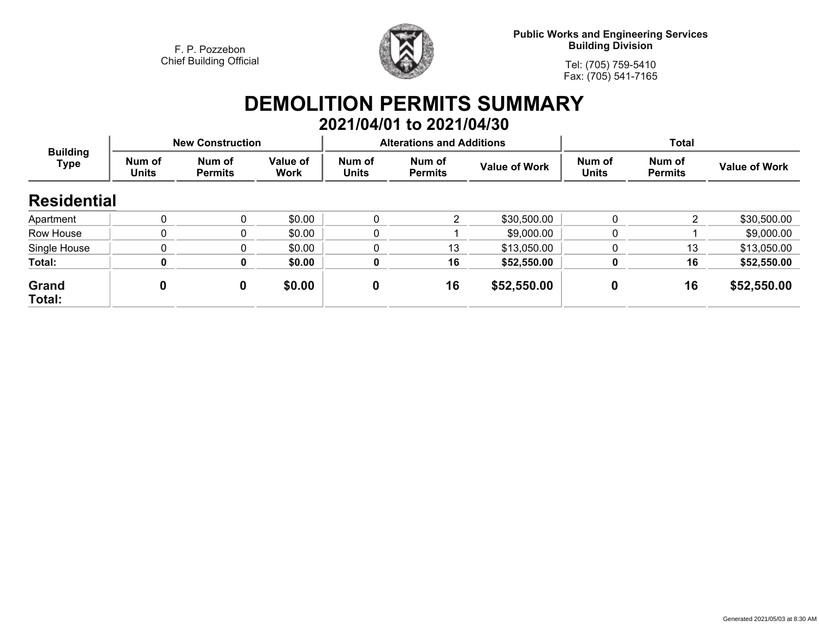

**Public Works and Engineering Services Building Division**

**Tel: (705) 759-5410Fax: (705) 541-7165**

# **DEMOLITION PERMITS SUMMARY 2021/04/01 to 2021/04/30**

| <b>Building</b><br><b>Type</b> |                        | <b>New Construction</b>  |                         |                        | <b>Alterations and Additions</b> |                      | <b>Total</b>           |                          |                      |
|--------------------------------|------------------------|--------------------------|-------------------------|------------------------|----------------------------------|----------------------|------------------------|--------------------------|----------------------|
|                                | Num of<br><b>Units</b> | Num of<br><b>Permits</b> | Value of<br><b>Work</b> | Num of<br><b>Units</b> | Num of<br><b>Permits</b>         | <b>Value of Work</b> | Num of<br><b>Units</b> | Num of<br><b>Permits</b> | <b>Value of Work</b> |
| <b>Residential</b>             |                        |                          |                         |                        |                                  |                      |                        |                          |                      |
| Apartment                      | $\Omega$               | 0                        | \$0.00                  |                        |                                  | \$30,500.00          | $\Omega$               | 2                        | \$30,500.00          |
| Row House                      | 0                      | 0                        | \$0.00                  |                        |                                  | \$9,000.00           | 0                      |                          | \$9,000.00           |
| Single House                   | $\Omega$               | 0                        | \$0.00                  |                        | 13                               | \$13,050.00          |                        | 13                       | \$13,050.00          |
| Total:                         | Λ                      | 0                        | \$0.00                  |                        | 16                               | \$52,550.00          |                        | 16                       | \$52,550.00          |
| Grand<br>Total:                | 0                      | 0                        | \$0.00                  | $\mathbf 0$            | 16                               | \$52,550.00          | 0                      | 16                       | \$52,550.00          |